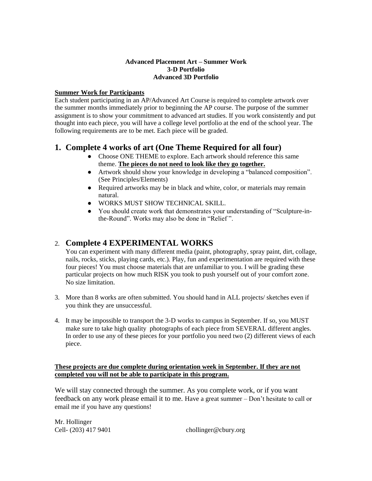### **Advanced Placement Art – Summer Work 3-D Portfolio Advanced 3D Portfolio**

### **Summer Work for Participants**

Each student participating in an AP/Advanced Art Course is required to complete artwork over the summer months immediately prior to beginning the AP course. The purpose of the summer assignment is to show your commitment to advanced art studies. If you work consistently and put thought into each piece, you will have a college level portfolio at the end of the school year. The following requirements are to be met. Each piece will be graded.

# **1. Complete 4 works of art (One Theme Required for all four)**

- Choose ONE THEME to explore. Each artwork should reference this same theme. **The pieces do not need to look like they go together.**
- Artwork should show your knowledge in developing a "balanced composition". (See Principles/Elements)
- Required artworks may be in black and white, color, or materials may remain natural.
- WORKS MUST SHOW TECHNICAL SKILL.
- You should create work that demonstrates your understanding of "Sculpture-inthe-Round". Works may also be done in "Relief ".

# 2. **Complete 4 EXPERIMENTAL WORKS**

You can experiment with many different media (paint, photography, spray paint, dirt, collage, nails, rocks, sticks, playing cards, etc.). Play, fun and experimentation are required with these four pieces! You must choose materials that are unfamiliar to you. I will be grading these particular projects on how much RISK you took to push yourself out of your comfort zone. No size limitation.

- 3. More than 8 works are often submitted. You should hand in ALL projects/ sketches even if you think they are unsuccessful.
- 4. It may be impossible to transport the 3-D works to campus in September. If so, you MUST make sure to take high quality photographs of each piece from SEVERAL different angles. In order to use any of these pieces for your portfolio you need two (2) different views of each piece.

### **These projects are due complete during orientation week in September. If they are not completed you will not be able to participate in this program.**

We will stay connected through the summer. As you complete work, or if you want feedback on any work please email it to me. Have a great summer – Don't hesitate to call or email me if you have any questions!

Mr. Hollinger

Cell-  $(203)$  417 9401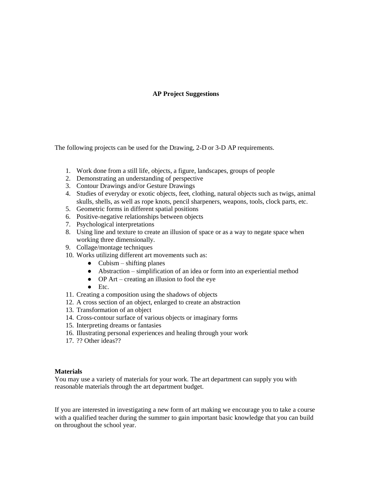### **AP Project Suggestions**

The following projects can be used for the Drawing, 2-D or 3-D AP requirements.

- 1. Work done from a still life, objects, a figure, landscapes, groups of people
- 2. Demonstrating an understanding of perspective
- 3. Contour Drawings and/or Gesture Drawings
- 4. Studies of everyday or exotic objects, feet, clothing, natural objects such as twigs, animal skulls, shells, as well as rope knots, pencil sharpeners, weapons, tools, clock parts, etc.
- 5. Geometric forms in different spatial positions
- 6. Positive-negative relationships between objects
- 7. Psychological interpretations
- 8. Using line and texture to create an illusion of space or as a way to negate space when working three dimensionally.
- 9. Collage/montage techniques
- 10. Works utilizing different art movements such as:
	- $\bullet$  Cubism shifting planes
	- Abstraction simplification of an idea or form into an experiential method
	- $\bullet$  OP Art creating an illusion to fool the eye
	- $\bullet$  Etc.
- 11. Creating a composition using the shadows of objects
- 12. A cross section of an object, enlarged to create an abstraction
- 13. Transformation of an object
- 14. Cross-contour surface of various objects or imaginary forms
- 15. Interpreting dreams or fantasies
- 16. Illustrating personal experiences and healing through your work
- 17. ?? Other ideas??

#### **Materials**

You may use a variety of materials for your work. The art department can supply you with reasonable materials through the art department budget.

If you are interested in investigating a new form of art making we encourage you to take a course with a qualified teacher during the summer to gain important basic knowledge that you can build on throughout the school year.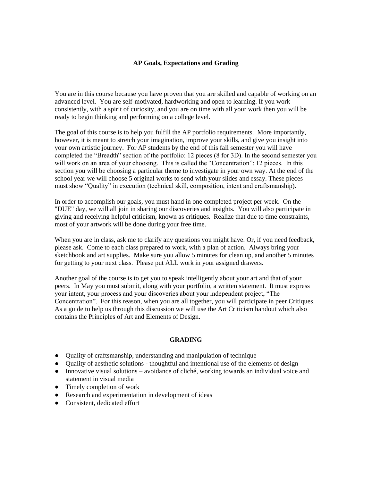#### **AP Goals, Expectations and Grading**

You are in this course because you have proven that you are skilled and capable of working on an advanced level. You are self-motivated, hardworking and open to learning. If you work consistently, with a spirit of curiosity, and you are on time with all your work then you will be ready to begin thinking and performing on a college level.

The goal of this course is to help you fulfill the AP portfolio requirements. More importantly, however, it is meant to stretch your imagination, improve your skills, and give you insight into your own artistic journey. For AP students by the end of this fall semester you will have completed the "Breadth" section of the portfolio: 12 pieces (8 for 3D). In the second semester you will work on an area of your choosing. This is called the "Concentration": 12 pieces. In this section you will be choosing a particular theme to investigate in your own way. At the end of the school year we will choose 5 original works to send with your slides and essay. These pieces must show "Quality" in execution (technical skill, composition, intent and craftsmanship).

In order to accomplish our goals, you must hand in one completed project per week. On the "DUE" day, we will all join in sharing our discoveries and insights. You will also participate in giving and receiving helpful criticism, known as critiques. Realize that due to time constraints, most of your artwork will be done during your free time.

When you are in class, ask me to clarify any questions you might have. Or, if you need feedback, please ask. Come to each class prepared to work, with a plan of action. Always bring your sketchbook and art supplies. Make sure you allow 5 minutes for clean up, and another 5 minutes for getting to your next class. Please put ALL work in your assigned drawers.

Another goal of the course is to get you to speak intelligently about your art and that of your peers. In May you must submit, along with your portfolio, a written statement. It must express your intent, your process and your discoveries about your independent project, "The Concentration". For this reason, when you are all together, you will participate in peer Critiques. As a guide to help us through this discussion we will use the Art Criticism handout which also contains the Principles of Art and Elements of Design.

#### **GRADING**

- Quality of craftsmanship, understanding and manipulation of technique
- Quality of aesthetic solutions thoughtful and intentional use of the elements of design
- Innovative visual solutions avoidance of cliché, working towards an individual voice and statement in visual media
- Timely completion of work
- Research and experimentation in development of ideas
- Consistent, dedicated effort